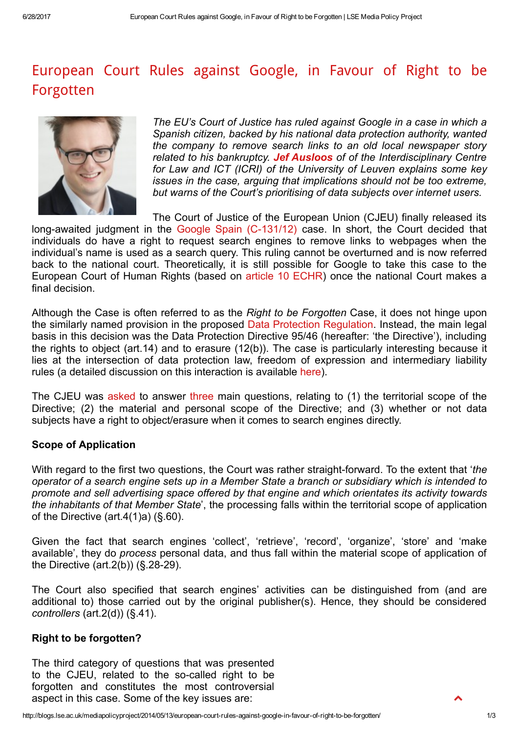# European Court Rules against Google, in Favour of Right to be [Forgotten](http://blogs.lse.ac.uk/mediapolicyproject/2014/05/13/european-court-rules-against-google-in-favour-of-right-to-be-forgotten/)



The EU's Court of Justice has ruled against Google in a case in which a Spanish citizen, backed by his national data protection authority, wanted the company to remove search links to an old local newspaper story related to his bankruptcy. Jef [Ausloos](https://www.law.kuleuven.be/apps/icri/en/overview/showPerson/166/) of of the Interdisciplinary Centre for Law and ICT (ICRI) of the University of Leuven explains some key issues in the case, arguing that implications should not be too extreme, but warns of the Court's prioritising of data subjects over internet users.

The Court of Justice of the European Union (CJEU) finally released its long-awaited judgment in the Google Spain (C-131/12) case. In short, the Court decided that individuals do have a right to request search engines to remove links to webpages when the individual's name is used as a search query. This ruling cannot be overturned and is now referred back to the national court. Theoretically, it is still possible for Google to take this case to the European Court of Human Rights (based on article 10 [ECHR](http://www.echr.coe.int/Documents/Convention_ENG.pdf)) once the national Court makes a final decision.

Although the Case is often referred to as the Right to be Forgotten Case, it does not hinge upon the similarly named provision in the proposed Data Protection [Regulation.](http://ec.europa.eu/justice/data-protection/document/review2012/com_2012_11_en.pdf) Instead, the main legal basis in this decision was the Data Protection Directive 95/46 (hereafter: 'the Directive'), including the rights to object (art.14) and to erasure (12(b)). The case is particularly interesting because it lies at the intersection of data protection law, freedom of expression and intermediary liability rules (a detailed discussion on this interaction is available [here\)](http://papers.ssrn.com/sol3/papers.cfm?abstract_id=2321494).

The CJEU was [asked](http://curia.europa.eu/juris/document/document.jsf?text=&docid=123131&pageIndex=0&doclang=en&mode=req&dir=&occ=first&part=1&cid=252936) to answer [three](http://www.poderjudicial.es/search/doAction?action=contentpdf&databasematch=AN&reference=6292979&links=&optimize=20120305&publicinterface=true) main questions, relating to (1) the territorial scope of the Directive; (2) the material and personal scope of the Directive; and (3) whether or not data subjects have a right to object/erasure when it comes to search engines directly.

# Scope of Application

With regard to the first two questions, the Court was rather straight-forward. To the extent that 'the operator of a search engine sets up in a Member State a branch or subsidiary which is intended to promote and sell advertising space offered by that engine and which orientates its activity towards the inhabitants of that Member State', the processing falls within the territorial scope of application of the Directive (art.4(1)a) (§.60).

Given the fact that search engines 'collect', 'retrieve', 'record', 'organize', 'store' and 'make available', they do process personal data, and thus fall within the material scope of application of the Directive (art.  $2(b)$ ) (§.  $28-29$ ).

The Court also specified that search engines' activities can be distinguished from (and are additional to) those carried out by the original publisher(s). Hence, they should be considered controllers (art.2(d)) (§.41).

### Right to be forgotten?

The third category of questions that was presented to the CJEU, related to the so-called right to be forgotten and constitutes the most controversial aspect in this case. Some of the key issues are:

 $\blacktriangle$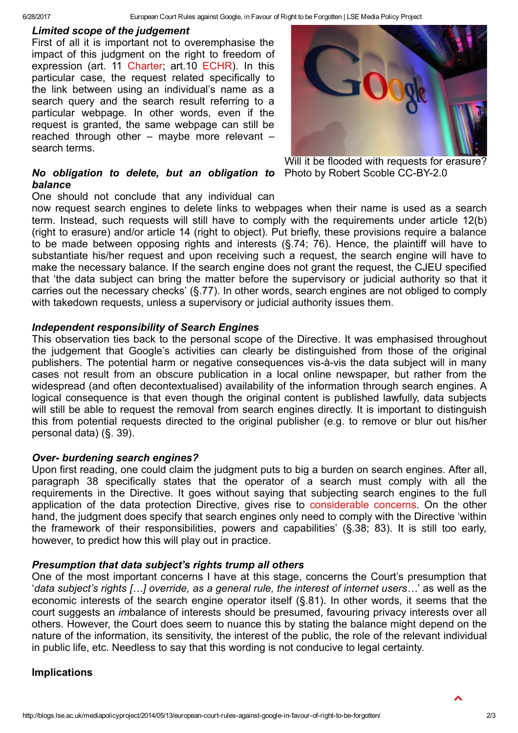### Limited scope of the judgement

First of all it is important not to overemphasise the impact of this judgment on the right to freedom of expression (art. 11 [Charter;](http://www.europarl.europa.eu/charter/pdf/text_en.pdf) art.10 [ECHR\)](http://www.echr.coe.int/Documents/Convention_ENG.pdf). In this particular case, the request related specifically to the link between using an individual's name as a search query and the search result referring to a particular webpage. In other words, even if the request is granted, the same webpage can still be reached through other – maybe more relevant – search terms.



Will it be flooded with requests for erasure?

# No obligation to delete, but an obligation to Photo by Robert Scoble CC-BY-2.0 balance

One should not conclude that any individual can

now request search engines to delete links to webpages when their name is used as a search term. Instead, such requests will still have to comply with the requirements under article 12(b) (right to erasure) and/or article 14 (right to object). Put briefly, these provisions require a balance to be made between opposing rights and interests (§.74; 76). Hence, the plaintiff will have to substantiate his/her request and upon receiving such a request, the search engine will have to make the necessary balance. If the search engine does not grant the request, the CJEU specified that 'the data subject can bring the matter before the supervisory or judicial authority so that it carries out the necessary checks' (§.77). In other words, search engines are not obliged to comply with takedown requests, unless a supervisory or judicial authority issues them.

## Independent responsibility of Search Engines

This observation ties back to the personal scope of the Directive. It was emphasised throughout the judgement that Google's activities can clearly be distinguished from those of the original publishers. The potential harm or negative consequences vis-à-vis the data subject will in many cases not result from an obscure publication in a local online newspaper, but rather from the widespread (and often decontextualised) availability of the information through search engines. A logical consequence is that even though the original content is published lawfully, data subjects will still be able to request the removal from search engines directly. It is important to distinguish this from potential requests directed to the original publisher (e.g. to remove or blur out his/her personal data) (§. 39).

# Over- burdening search engines?

Upon first reading, one could claim the judgment puts to big a burden on search engines. After all, paragraph 38 specifically states that the operator of a search must comply with all the requirements in the Directive. It goes without saying that subjecting search engines to the full application of the data protection Directive, gives rise to [considerable](http://papers.ssrn.com/sol3/papers.cfm?abstract_id=2321494) concerns. On the other hand, the judgment does specify that search engines only need to comply with the Directive 'within the framework of their responsibilities, powers and capabilities' (§.38; 83). It is still too early, however, to predict how this will play out in practice.

# Presumption that data subject's rights trump all others

One of the most important concerns I have at this stage, concerns the Court's presumption that 'data subject's rights […] override, as a general rule, the interest of internet users…' as well as the economic interests of the search engine operator itself (§.81). In other words, it seems that the court suggests an imbalance of interests should be presumed, favouring privacy interests over all others. However, the Court does seem to nuance this by stating the balance might depend on the nature of the information, its sensitivity, the interest of the public, the role of the relevant individual in public life, etc. Needless to say that this wording is not conducive to legal certainty.

# Implications

 $\blacktriangle$